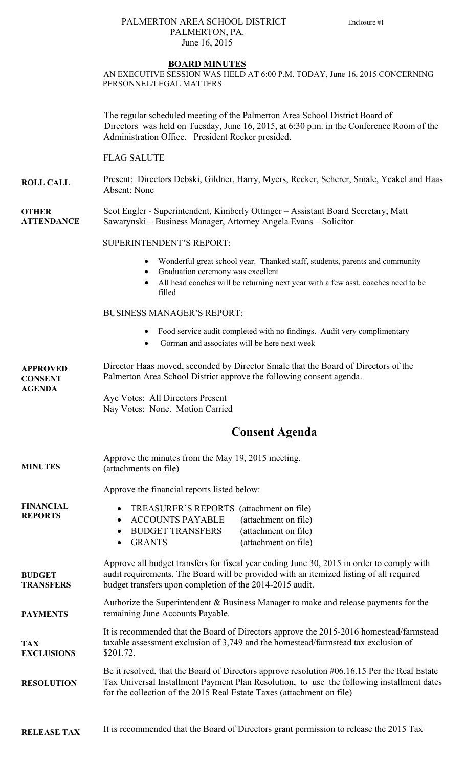### PALMERTON AREA SCHOOL DISTRICT Enclosure #1 PALMERTON, PA. June 16, 2015

#### **BOARD MINUTES**

AN EXECUTIVE SESSION WAS HELD AT 6:00 P.M. TODAY, June 16, 2015 CONCERNING PERSONNEL/LEGAL MATTERS

The regular scheduled meeting of the Palmerton Area School District Board of Directors was held on Tuesday, June 16, 2015, at 6:30 p.m. in the Conference Room of the Administration Office. President Recker presided.

FLAG SALUTE

**ROLL CALL**  Present: Directors Debski, Gildner, Harry, Myers, Recker, Scherer, Smale, Yeakel and Haas Absent: None

**OTHER ATTENDANCE**  Scot Engler - Superintendent, Kimberly Ottinger – Assistant Board Secretary, Matt Sawarynski – Business Manager, Attorney Angela Evans – Solicitor

#### SUPERINTENDENT'S REPORT:

- Wonderful great school year. Thanked staff, students, parents and community
- Graduation ceremony was excellent
- All head coaches will be returning next year with a few asst. coaches need to be filled

## BUSINESS MANAGER'S REPORT:

- Food service audit completed with no findings. Audit very complimentary
- Gorman and associates will be here next week

**APPROVED CONSENT AGENDA**  Director Haas moved, seconded by Director Smale that the Board of Directors of the Palmerton Area School District approve the following consent agenda.

Aye Votes: All Directors Present Nay Votes: None. Motion Carried

# **Consent Agenda**

| <b>MINUTES</b>                     | Approve the minutes from the May 19, 2015 meeting.<br>(attachments on file)                                                                                                                                                                      |                                                                                                                                                                                           |
|------------------------------------|--------------------------------------------------------------------------------------------------------------------------------------------------------------------------------------------------------------------------------------------------|-------------------------------------------------------------------------------------------------------------------------------------------------------------------------------------------|
|                                    | Approve the financial reports listed below:                                                                                                                                                                                                      |                                                                                                                                                                                           |
| <b>FINANCIAL</b><br><b>REPORTS</b> | <b>TREASURER'S REPORTS</b><br><b>ACCOUNTS PAYABLE</b><br><b>BUDGET TRANSFERS</b><br>$\bullet$<br><b>GRANTS</b>                                                                                                                                   | (attachment on file)<br>(attachment on file)<br>(attachment on file)<br>(attachment on file)                                                                                              |
| <b>BUDGET</b><br><b>TRANSFERS</b>  | Approve all budget transfers for fiscal year ending June 30, 2015 in order to comply with<br>audit requirements. The Board will be provided with an itemized listing of all required<br>budget transfers upon completion of the 2014-2015 audit. |                                                                                                                                                                                           |
| <b>PAYMENTS</b>                    | Authorize the Superintendent & Business Manager to make and release payments for the<br>remaining June Accounts Payable.                                                                                                                         |                                                                                                                                                                                           |
| TAX<br><b>EXCLUSIONS</b>           | It is recommended that the Board of Directors approve the 2015-2016 homestead/farmstead<br>taxable assessment exclusion of 3,749 and the homestead/farmstead tax exclusion of<br>\$201.72.                                                       |                                                                                                                                                                                           |
| <b>RESOLUTION</b>                  | for the collection of the 2015 Real Estate Taxes (attachment on file)                                                                                                                                                                            | Be it resolved, that the Board of Directors approve resolution #06.16.15 Per the Real Estate<br>Tax Universal Installment Payment Plan Resolution, to use the following installment dates |
|                                    |                                                                                                                                                                                                                                                  |                                                                                                                                                                                           |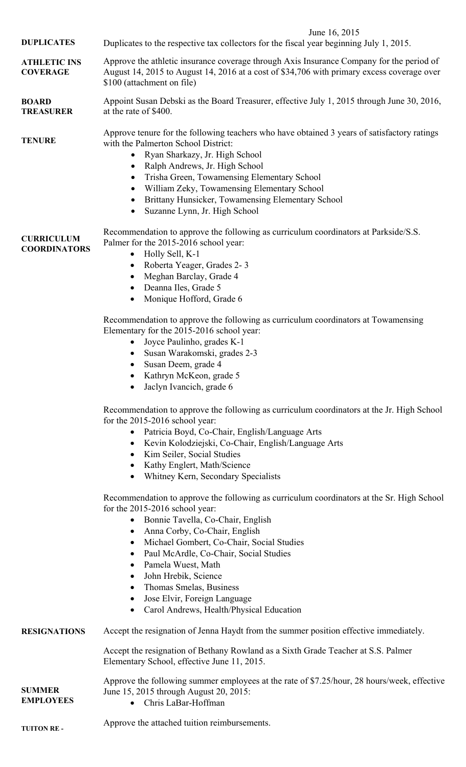|                                          | June 16, 2015                                                                                                                                                                                                                                                                                                                                                                                                                                                                                                               |
|------------------------------------------|-----------------------------------------------------------------------------------------------------------------------------------------------------------------------------------------------------------------------------------------------------------------------------------------------------------------------------------------------------------------------------------------------------------------------------------------------------------------------------------------------------------------------------|
| <b>DUPLICATES</b>                        | Duplicates to the respective tax collectors for the fiscal year beginning July 1, 2015.                                                                                                                                                                                                                                                                                                                                                                                                                                     |
| <b>ATHLETIC INS</b><br><b>COVERAGE</b>   | Approve the athletic insurance coverage through Axis Insurance Company for the period of<br>August 14, 2015 to August 14, 2016 at a cost of \$34,706 with primary excess coverage over<br>\$100 (attachment on file)                                                                                                                                                                                                                                                                                                        |
| <b>BOARD</b><br><b>TREASURER</b>         | Appoint Susan Debski as the Board Treasurer, effective July 1, 2015 through June 30, 2016,<br>at the rate of \$400.                                                                                                                                                                                                                                                                                                                                                                                                         |
| <b>TENURE</b>                            | Approve tenure for the following teachers who have obtained 3 years of satisfactory ratings<br>with the Palmerton School District:<br>Ryan Sharkazy, Jr. High School<br>$\bullet$<br>Ralph Andrews, Jr. High School<br>$\bullet$<br>Trisha Green, Towamensing Elementary School<br>$\bullet$<br>William Zeky, Towamensing Elementary School<br>Brittany Hunsicker, Towamensing Elementary School<br>Suzanne Lynn, Jr. High School<br>$\bullet$                                                                              |
| <b>CURRICULUM</b><br><b>COORDINATORS</b> | Recommendation to approve the following as curriculum coordinators at Parkside/S.S.<br>Palmer for the 2015-2016 school year:<br>Holly Sell, K-1<br>$\bullet$<br>Roberta Yeager, Grades 2-3<br>$\bullet$<br>Meghan Barclay, Grade 4<br>Deanna Iles, Grade 5<br>Monique Hofford, Grade 6<br>Recommendation to approve the following as curriculum coordinators at Towamensing                                                                                                                                                 |
|                                          | Elementary for the 2015-2016 school year:<br>Joyce Paulinho, grades K-1<br>$\bullet$<br>Susan Warakomski, grades 2-3<br>Susan Deem, grade 4<br>$\bullet$<br>Kathryn McKeon, grade 5<br>Jaclyn Ivancich, grade 6                                                                                                                                                                                                                                                                                                             |
|                                          | Recommendation to approve the following as curriculum coordinators at the Jr. High School<br>for the 2015-2016 school year:<br>Patricia Boyd, Co-Chair, English/Language Arts<br>Kevin Kolodziejski, Co-Chair, English/Language Arts<br>Kim Seiler, Social Studies<br>$\bullet$<br>Kathy Englert, Math/Science<br>Whitney Kern, Secondary Specialists                                                                                                                                                                       |
|                                          | Recommendation to approve the following as curriculum coordinators at the Sr. High School<br>for the 2015-2016 school year:<br>Bonnie Tavella, Co-Chair, English<br>$\bullet$<br>Anna Corby, Co-Chair, English<br>Michael Gombert, Co-Chair, Social Studies<br>$\bullet$<br>Paul McArdle, Co-Chair, Social Studies<br>$\bullet$<br>Pamela Wuest, Math<br>$\bullet$<br>John Hrebik, Science<br>$\bullet$<br>Thomas Smelas, Business<br>Jose Elvir, Foreign Language<br>$\bullet$<br>Carol Andrews, Health/Physical Education |
| <b>RESIGNATIONS</b>                      | Accept the resignation of Jenna Haydt from the summer position effective immediately.                                                                                                                                                                                                                                                                                                                                                                                                                                       |
|                                          | Accept the resignation of Bethany Rowland as a Sixth Grade Teacher at S.S. Palmer<br>Elementary School, effective June 11, 2015.                                                                                                                                                                                                                                                                                                                                                                                            |
| <b>SUMMER</b><br><b>EMPLOYEES</b>        | Approve the following summer employees at the rate of \$7.25/hour, 28 hours/week, effective<br>June 15, 2015 through August 20, 2015:<br>$\bullet$ Chris LaBar-Hoffman                                                                                                                                                                                                                                                                                                                                                      |

Chris LaBar-Hoffman

**TUITON RE -** Approve the attached tuition reimbursements.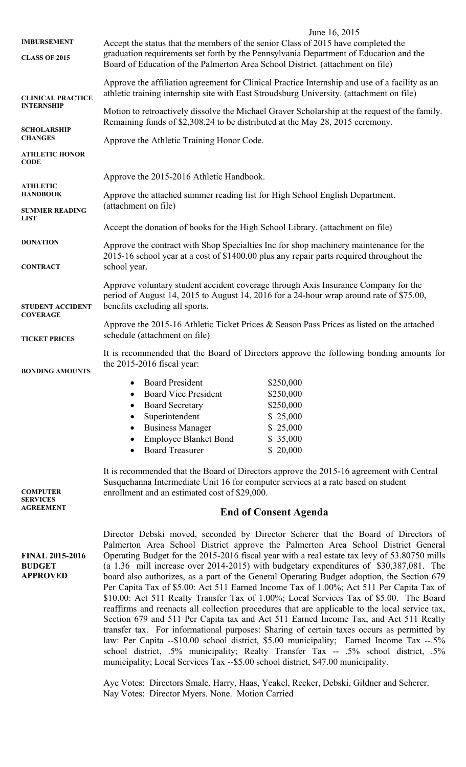| <b>IMBURSEMENT</b>                                         | June 16, 2015<br>Accept the status that the members of the senior Class of 2015 have completed the                                                                                                                                                                                                                                                                                                                                                                                                                                                                                                                                                                                                                                                                                                                                                                                                                                                                                                                                                                                                                                                                                                                                                                                                          |  |  |
|------------------------------------------------------------|-------------------------------------------------------------------------------------------------------------------------------------------------------------------------------------------------------------------------------------------------------------------------------------------------------------------------------------------------------------------------------------------------------------------------------------------------------------------------------------------------------------------------------------------------------------------------------------------------------------------------------------------------------------------------------------------------------------------------------------------------------------------------------------------------------------------------------------------------------------------------------------------------------------------------------------------------------------------------------------------------------------------------------------------------------------------------------------------------------------------------------------------------------------------------------------------------------------------------------------------------------------------------------------------------------------|--|--|
| <b>CLASS OF 2015</b>                                       | graduation requirements set forth by the Pennsylvania Department of Education and the<br>Board of Education of the Palmerton Area School District. (attachment on file)                                                                                                                                                                                                                                                                                                                                                                                                                                                                                                                                                                                                                                                                                                                                                                                                                                                                                                                                                                                                                                                                                                                                     |  |  |
| <b>CLINICAL PRACTICE</b><br><b>INTERNSHIP</b>              | Approve the affiliation agreement for Clinical Practice Internship and use of a facility as an<br>athletic training internship site with East Stroudsburg University. (attachment on file)                                                                                                                                                                                                                                                                                                                                                                                                                                                                                                                                                                                                                                                                                                                                                                                                                                                                                                                                                                                                                                                                                                                  |  |  |
|                                                            | Motion to retroactively dissolve the Michael Graver Scholarship at the request of the family.<br>Remaining funds of \$2,308.24 to be distributed at the May 28, 2015 ceremony.                                                                                                                                                                                                                                                                                                                                                                                                                                                                                                                                                                                                                                                                                                                                                                                                                                                                                                                                                                                                                                                                                                                              |  |  |
| <b>SCHOLARSHIP</b><br><b>CHANGES</b>                       | Approve the Athletic Training Honor Code.                                                                                                                                                                                                                                                                                                                                                                                                                                                                                                                                                                                                                                                                                                                                                                                                                                                                                                                                                                                                                                                                                                                                                                                                                                                                   |  |  |
| <b>ATHLETIC HONOR</b><br><b>CODE</b>                       |                                                                                                                                                                                                                                                                                                                                                                                                                                                                                                                                                                                                                                                                                                                                                                                                                                                                                                                                                                                                                                                                                                                                                                                                                                                                                                             |  |  |
| <b>ATHLETIC</b>                                            | Approve the 2015-2016 Athletic Handbook.                                                                                                                                                                                                                                                                                                                                                                                                                                                                                                                                                                                                                                                                                                                                                                                                                                                                                                                                                                                                                                                                                                                                                                                                                                                                    |  |  |
| <b>HANDBOOK</b>                                            | Approve the attached summer reading list for High School English Department.<br>(attachment on file)                                                                                                                                                                                                                                                                                                                                                                                                                                                                                                                                                                                                                                                                                                                                                                                                                                                                                                                                                                                                                                                                                                                                                                                                        |  |  |
| <b>SUMMER READING</b><br><b>LIST</b>                       |                                                                                                                                                                                                                                                                                                                                                                                                                                                                                                                                                                                                                                                                                                                                                                                                                                                                                                                                                                                                                                                                                                                                                                                                                                                                                                             |  |  |
| <b>DONATION</b>                                            | Accept the donation of books for the High School Library. (attachment on file)                                                                                                                                                                                                                                                                                                                                                                                                                                                                                                                                                                                                                                                                                                                                                                                                                                                                                                                                                                                                                                                                                                                                                                                                                              |  |  |
| <b>CONTRACT</b>                                            | Approve the contract with Shop Specialties Inc for shop machinery maintenance for the<br>2015-16 school year at a cost of \$1400.00 plus any repair parts required throughout the<br>school year.                                                                                                                                                                                                                                                                                                                                                                                                                                                                                                                                                                                                                                                                                                                                                                                                                                                                                                                                                                                                                                                                                                           |  |  |
|                                                            | Approve voluntary student accident coverage through Axis Insurance Company for the                                                                                                                                                                                                                                                                                                                                                                                                                                                                                                                                                                                                                                                                                                                                                                                                                                                                                                                                                                                                                                                                                                                                                                                                                          |  |  |
| <b>STUDENT ACCIDENT</b><br><b>COVERAGE</b>                 | period of August 14, 2015 to August 14, 2016 for a 24-hour wrap around rate of \$75.00,<br>benefits excluding all sports.                                                                                                                                                                                                                                                                                                                                                                                                                                                                                                                                                                                                                                                                                                                                                                                                                                                                                                                                                                                                                                                                                                                                                                                   |  |  |
| <b>TICKET PRICES</b>                                       | Approve the 2015-16 Athletic Ticket Prices $\&$ Season Pass Prices as listed on the attached<br>schedule (attachment on file)                                                                                                                                                                                                                                                                                                                                                                                                                                                                                                                                                                                                                                                                                                                                                                                                                                                                                                                                                                                                                                                                                                                                                                               |  |  |
| <b>BONDING AMOUNTS</b>                                     | It is recommended that the Board of Directors approve the following bonding amounts for<br>the $2015-2016$ fiscal year:                                                                                                                                                                                                                                                                                                                                                                                                                                                                                                                                                                                                                                                                                                                                                                                                                                                                                                                                                                                                                                                                                                                                                                                     |  |  |
|                                                            | <b>Board President</b><br>\$250,000                                                                                                                                                                                                                                                                                                                                                                                                                                                                                                                                                                                                                                                                                                                                                                                                                                                                                                                                                                                                                                                                                                                                                                                                                                                                         |  |  |
|                                                            | <b>Board Vice President</b><br>\$250,000<br>\$250,000<br><b>Board Secretary</b><br>$\bullet$                                                                                                                                                                                                                                                                                                                                                                                                                                                                                                                                                                                                                                                                                                                                                                                                                                                                                                                                                                                                                                                                                                                                                                                                                |  |  |
|                                                            | Superintendent<br>\$25,000                                                                                                                                                                                                                                                                                                                                                                                                                                                                                                                                                                                                                                                                                                                                                                                                                                                                                                                                                                                                                                                                                                                                                                                                                                                                                  |  |  |
|                                                            | <b>Business Manager</b><br>\$25,000<br>$\bullet$                                                                                                                                                                                                                                                                                                                                                                                                                                                                                                                                                                                                                                                                                                                                                                                                                                                                                                                                                                                                                                                                                                                                                                                                                                                            |  |  |
|                                                            | <b>Employee Blanket Bond</b><br>\$35,000                                                                                                                                                                                                                                                                                                                                                                                                                                                                                                                                                                                                                                                                                                                                                                                                                                                                                                                                                                                                                                                                                                                                                                                                                                                                    |  |  |
|                                                            | <b>Board Treasurer</b><br>\$20,000                                                                                                                                                                                                                                                                                                                                                                                                                                                                                                                                                                                                                                                                                                                                                                                                                                                                                                                                                                                                                                                                                                                                                                                                                                                                          |  |  |
| <b>COMPUTER</b><br><b>SERVICES</b>                         | It is recommended that the Board of Directors approve the 2015-16 agreement with Central<br>Susquehanna Intermediate Unit 16 for computer services at a rate based on student<br>enrollment and an estimated cost of \$29,000.                                                                                                                                                                                                                                                                                                                                                                                                                                                                                                                                                                                                                                                                                                                                                                                                                                                                                                                                                                                                                                                                              |  |  |
| <b>AGREEMENT</b>                                           | <b>End of Consent Agenda</b>                                                                                                                                                                                                                                                                                                                                                                                                                                                                                                                                                                                                                                                                                                                                                                                                                                                                                                                                                                                                                                                                                                                                                                                                                                                                                |  |  |
| <b>FINAL 2015-2016</b><br><b>BUDGET</b><br><b>APPROVED</b> | Director Debski moved, seconded by Director Scherer that the Board of Directors of<br>Palmerton Area School District approve the Palmerton Area School District General<br>Operating Budget for the 2015-2016 fiscal year with a real estate tax levy of 53.80750 mills<br>(a $1.36$ mill increase over 2014-2015) with budgetary expenditures of \$30,387,081. The<br>board also authorizes, as a part of the General Operating Budget adoption, the Section 679<br>Per Capita Tax of \$5.00: Act 511 Earned Income Tax of 1.00%; Act 511 Per Capita Tax of<br>\$10.00: Act 511 Realty Transfer Tax of 1.00%; Local Services Tax of \$5.00. The Board<br>reaffirms and reenacts all collection procedures that are applicable to the local service tax,<br>Section 679 and 511 Per Capita tax and Act 511 Earned Income Tax, and Act 511 Realty<br>transfer tax. For informational purposes: Sharing of certain taxes occurs as permitted by<br>law: Per Capita --\$10.00 school district, \$5.00 municipality; Earned Income Tax --.5%<br>school district, .5% municipality; Realty Transfer Tax -- .5% school district, .5%<br>municipality; Local Services Tax --\$5.00 school district, \$47.00 municipality.<br>Aye Votes: Directors Smale, Harry, Haas, Yeakel, Recker, Debski, Gildner and Scherer. |  |  |
|                                                            | Nay Votes: Director Myers. None. Motion Carried                                                                                                                                                                                                                                                                                                                                                                                                                                                                                                                                                                                                                                                                                                                                                                                                                                                                                                                                                                                                                                                                                                                                                                                                                                                             |  |  |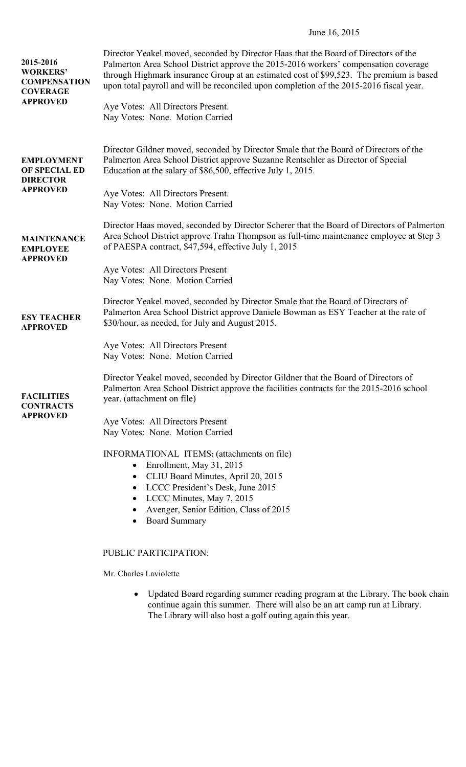# June 16, 2015

| 2015-2016<br><b>WORKERS'</b><br><b>COMPENSATION</b><br><b>COVERAGE</b><br><b>APPROVED</b> | Director Yeakel moved, seconded by Director Haas that the Board of Directors of the<br>Palmerton Area School District approve the 2015-2016 workers' compensation coverage<br>through Highmark insurance Group at an estimated cost of \$99,523. The premium is based<br>upon total payroll and will be reconciled upon completion of the 2015-2016 fiscal year.<br>Aye Votes: All Directors Present.<br>Nay Votes: None. Motion Carried |
|-------------------------------------------------------------------------------------------|------------------------------------------------------------------------------------------------------------------------------------------------------------------------------------------------------------------------------------------------------------------------------------------------------------------------------------------------------------------------------------------------------------------------------------------|
| <b>EMPLOYMENT</b><br>OF SPECIAL ED<br><b>DIRECTOR</b><br><b>APPROVED</b>                  | Director Gildner moved, seconded by Director Smale that the Board of Directors of the<br>Palmerton Area School District approve Suzanne Rentschler as Director of Special<br>Education at the salary of \$86,500, effective July 1, 2015.<br>Aye Votes: All Directors Present.<br>Nay Votes: None. Motion Carried                                                                                                                        |
| <b>MAINTENANCE</b><br><b>EMPLOYEE</b><br><b>APPROVED</b>                                  | Director Haas moved, seconded by Director Scherer that the Board of Directors of Palmerton<br>Area School District approve Trahn Thompson as full-time maintenance employee at Step 3<br>of PAESPA contract, \$47,594, effective July 1, 2015                                                                                                                                                                                            |
|                                                                                           | Aye Votes: All Directors Present<br>Nay Votes: None. Motion Carried                                                                                                                                                                                                                                                                                                                                                                      |
| <b>ESY TEACHER</b><br><b>APPROVED</b>                                                     | Director Yeakel moved, seconded by Director Smale that the Board of Directors of<br>Palmerton Area School District approve Daniele Bowman as ESY Teacher at the rate of<br>\$30/hour, as needed, for July and August 2015.                                                                                                                                                                                                               |
|                                                                                           | Aye Votes: All Directors Present<br>Nay Votes: None. Motion Carried                                                                                                                                                                                                                                                                                                                                                                      |
| <b>FACILITIES</b><br><b>CONTRACTS</b><br><b>APPROVED</b>                                  | Director Yeakel moved, seconded by Director Gildner that the Board of Directors of<br>Palmerton Area School District approve the facilities contracts for the 2015-2016 school<br>year. (attachment on file)                                                                                                                                                                                                                             |
|                                                                                           | Aye Votes: All Directors Present<br>Nay Votes: None. Motion Carried                                                                                                                                                                                                                                                                                                                                                                      |
|                                                                                           | INFORMATIONAL ITEMS: (attachments on file)<br>Enrollment, May 31, 2015<br>$\bullet$<br>CLIU Board Minutes, April 20, 2015<br>LCCC President's Desk, June 2015<br>$\bullet$<br>LCCC Minutes, May 7, 2015<br>Avenger, Senior Edition, Class of 2015<br><b>Board Summary</b>                                                                                                                                                                |
|                                                                                           | PUBLIC PARTICIPATION:                                                                                                                                                                                                                                                                                                                                                                                                                    |
|                                                                                           | Mr. Charles Laviolette                                                                                                                                                                                                                                                                                                                                                                                                                   |
|                                                                                           | Updated Board regarding summer reading program at the Library. The book chain<br>continue again this summer. There will also be an art camp run at Library.                                                                                                                                                                                                                                                                              |

The Library will also host a golf outing again this year.